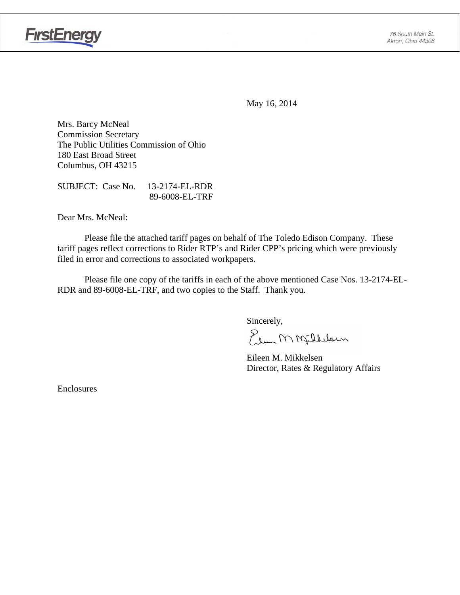

May 16, 2014

Mrs. Barcy McNeal Commission Secretary The Public Utilities Commission of Ohio 180 East Broad Street Columbus, OH 43215

SUBJECT: Case No. 13-2174-EL-RDR 89-6008-EL-TRF

Dear Mrs. McNeal:

 Please file the attached tariff pages on behalf of The Toledo Edison Company. These tariff pages reflect corrections to Rider RTP's and Rider CPP's pricing which were previously filed in error and corrections to associated workpapers.

Please file one copy of the tariffs in each of the above mentioned Case Nos. 13-2174-EL-RDR and 89-6008-EL-TRF, and two copies to the Staff. Thank you.

Sincerely,

Elem M Milleloun

 Eileen M. Mikkelsen Director, Rates & Regulatory Affairs

Enclosures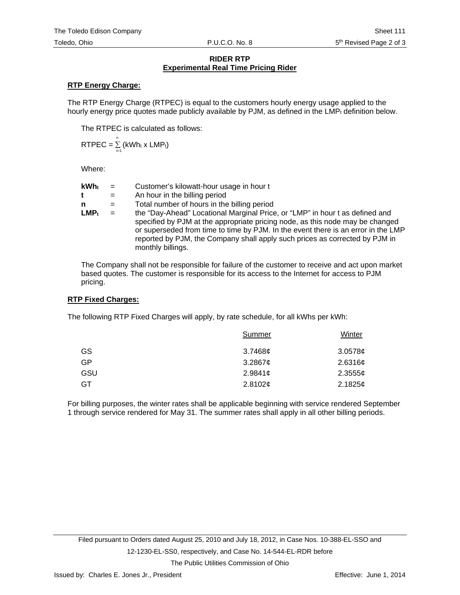## **RIDER RTP Experimental Real Time Pricing Rider**

## **RTP Energy Charge:**

The RTP Energy Charge (RTPEC) is equal to the customers hourly energy usage applied to the hourly energy price quotes made publicly available by PJM, as defined in the  $LMP<sub>t</sub>$  definition below.

The RTPEC is calculated as follows:

$$
RTPEC = \sum_{t=1}^{n} (kWh_t \times LMP_t)
$$

Where:

| <b>kWh</b> t | $=$ | Customer's kilowatt-hour usage in hour t                                                                                                                                                                                                                                                                                                               |
|--------------|-----|--------------------------------------------------------------------------------------------------------------------------------------------------------------------------------------------------------------------------------------------------------------------------------------------------------------------------------------------------------|
| t            | $=$ | An hour in the billing period                                                                                                                                                                                                                                                                                                                          |
| n            | $=$ | Total number of hours in the billing period                                                                                                                                                                                                                                                                                                            |
| $LMP_t$      | $=$ | the "Day-Ahead" Locational Marginal Price, or "LMP" in hour t as defined and<br>specified by PJM at the appropriate pricing node, as this node may be changed<br>or superseded from time to time by PJM. In the event there is an error in the LMP<br>reported by PJM, the Company shall apply such prices as corrected by PJM in<br>monthly billings. |

The Company shall not be responsible for failure of the customer to receive and act upon market based quotes. The customer is responsible for its access to the Internet for access to PJM pricing.

#### **RTP Fixed Charges:**

The following RTP Fixed Charges will apply, by rate schedule, for all kWhs per kWh:

| Summer               |         |
|----------------------|---------|
| GS<br>$3.7468$ ¢     | 3.0578c |
| GP<br>$3.2867$ ¢     | 2.6316¢ |
| GSU<br>2.9841 $\phi$ | 2.35556 |
| GT<br>2.8102¢        | 2.1825¢ |

For billing purposes, the winter rates shall be applicable beginning with service rendered September 1 through service rendered for May 31. The summer rates shall apply in all other billing periods.

The Public Utilities Commission of Ohio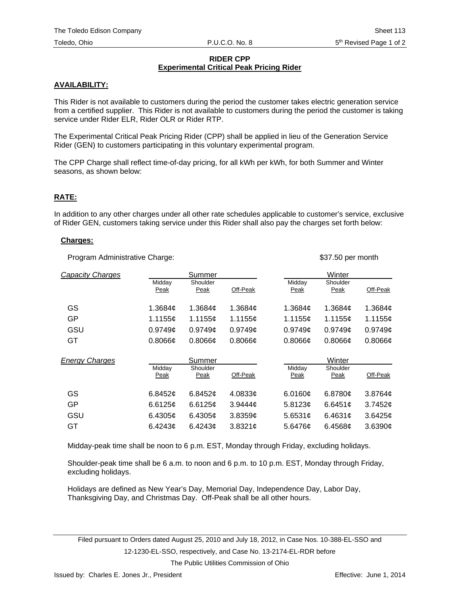## **RIDER CPP Experimental Critical Peak Pricing Rider**

# **AVAILABILITY:**

This Rider is not available to customers during the period the customer takes electric generation service from a certified supplier. This Rider is not available to customers during the period the customer is taking service under Rider ELR, Rider OLR or Rider RTP.

The Experimental Critical Peak Pricing Rider (CPP) shall be applied in lieu of the Generation Service Rider (GEN) to customers participating in this voluntary experimental program.

The CPP Charge shall reflect time-of-day pricing, for all kWh per kWh, for both Summer and Winter seasons, as shown below:

## **RATE:**

In addition to any other charges under all other rate schedules applicable to customer's service, exclusive of Rider GEN, customers taking service under this Rider shall also pay the charges set forth below:

#### **Charges:**

Program Administrative Charge:  $$37.50$  per month

| Capacity Charges      |                       | Summer           |                     |                     | Winter           |               |
|-----------------------|-----------------------|------------------|---------------------|---------------------|------------------|---------------|
|                       | Midday<br><b>Peak</b> | Shoulder<br>Peak | Off-Peak            | Midday<br>Peak      | Shoulder<br>Peak | Off-Peak      |
| GS                    | 1.3684 <sub>¢</sub>   | 1.3684 $\phi$    | 1.3684 <sub>¢</sub> | 1.3684 <sub>¢</sub> | 1.3684¢          | 1.3684 $\phi$ |
| GP                    | 1.1155¢               | 1.1155¢          | 1.1155¢             | 1.1155¢             | 1.1155¢          | 1.1155¢       |
| GSU                   | 0.9749c               | 0.9749c          | 0.9749c             | 0.9749c             | 0.9749c          | 0.9749c       |
| GT                    | $0.8066$ ¢            | $0.8066$ ¢       | 0.8066c             | 0.8066c             | $0.8066$ ¢       | $0.8066$ ¢    |
|                       |                       |                  |                     |                     |                  |               |
|                       |                       | Summer           |                     |                     | Winter           |               |
| <b>Energy Charges</b> | Midday<br>Peak        | Shoulder<br>Peak | Off-Peak            | Midday<br>Peak      | Shoulder<br>Peak | Off-Peak      |
| GS                    | 6.8452¢               | 6.8452 $\sigma$  | 4.0833¢             | 6.0160c             | 6.8780c          | 3.8764¢       |
| GP                    | 6.6125c               | 6.6125 $\sigma$  | 3.9444c             | 5.8123c             | 6.6451c          | 3.7452c       |
| GSU                   | 6.4305 $\sigma$       | 6.4305 $\phi$    | $3.8359$ ¢          | 5.6531c             | 6.4631 $\phi$    | 3.6425¢       |

Midday-peak time shall be noon to 6 p.m. EST, Monday through Friday, excluding holidays.

Shoulder-peak time shall be 6 a.m. to noon and 6 p.m. to 10 p.m. EST, Monday through Friday, excluding holidays.

Holidays are defined as New Year's Day, Memorial Day, Independence Day, Labor Day, Thanksgiving Day, and Christmas Day. Off-Peak shall be all other hours.

Filed pursuant to Orders dated August 25, 2010 and July 18, 2012, in Case Nos. 10-388-EL-SSO and 12-1230-EL-SSO, respectively, and Case No. 13-2174-EL-RDR before

The Public Utilities Commission of Ohio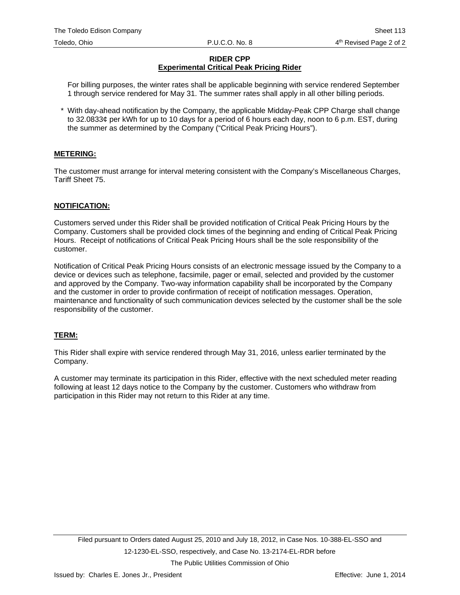# **RIDER CPP Experimental Critical Peak Pricing Rider**

For billing purposes, the winter rates shall be applicable beginning with service rendered September 1 through service rendered for May 31. The summer rates shall apply in all other billing periods.

\* With day-ahead notification by the Company, the applicable Midday-Peak CPP Charge shall change to 32.0833¢ per kWh for up to 10 days for a period of 6 hours each day, noon to 6 p.m. EST, during the summer as determined by the Company ("Critical Peak Pricing Hours").

## **METERING:**

The customer must arrange for interval metering consistent with the Company's Miscellaneous Charges, Tariff Sheet 75.

## **NOTIFICATION:**

Customers served under this Rider shall be provided notification of Critical Peak Pricing Hours by the Company. Customers shall be provided clock times of the beginning and ending of Critical Peak Pricing Hours. Receipt of notifications of Critical Peak Pricing Hours shall be the sole responsibility of the customer.

Notification of Critical Peak Pricing Hours consists of an electronic message issued by the Company to a device or devices such as telephone, facsimile, pager or email, selected and provided by the customer and approved by the Company. Two-way information capability shall be incorporated by the Company and the customer in order to provide confirmation of receipt of notification messages. Operation, maintenance and functionality of such communication devices selected by the customer shall be the sole responsibility of the customer.

## **TERM:**

This Rider shall expire with service rendered through May 31, 2016, unless earlier terminated by the Company.

A customer may terminate its participation in this Rider, effective with the next scheduled meter reading following at least 12 days notice to the Company by the customer. Customers who withdraw from participation in this Rider may not return to this Rider at any time.

The Public Utilities Commission of Ohio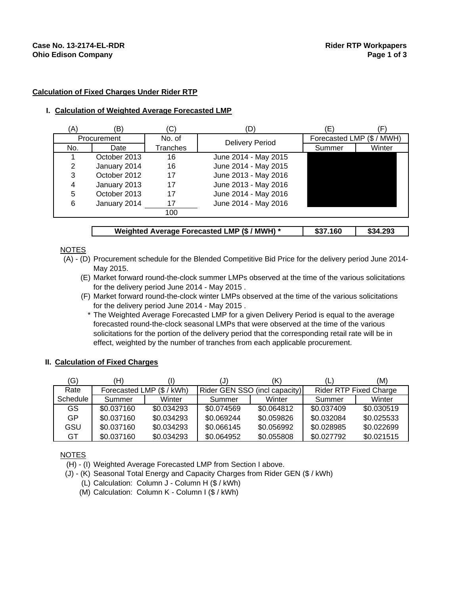#### **Calculation of Fixed Charges Under Rider RTP**

#### **I. Calculation of Weighted Average Forecasted LMP**

| A)  | (B)          | (C)      |                        | Έ,                  |        |
|-----|--------------|----------|------------------------|---------------------|--------|
|     | Procurement  | No. of   | <b>Delivery Period</b> | Forecasted LMP (\$/ | ' MWH) |
| No. | Date         | Tranches |                        | Summer              | Winter |
|     | October 2013 | 16       | June 2014 - May 2015   |                     |        |
| 2   | January 2014 | 16       | June 2014 - May 2015   |                     |        |
| 3   | October 2012 | 17       | June 2013 - May 2016   |                     |        |
| 4   | January 2013 | 17       | June 2013 - May 2016   |                     |        |
| 5   | October 2013 | 17       | June 2014 - May 2016   |                     |        |
| 6   | January 2014 | 17       | June 2014 - May 2016   |                     |        |
|     |              | 100      |                        |                     |        |
|     |              |          |                        |                     |        |

## Weighted Average Forecasted LMP (\$ / MWH) \* | \$37.160 | \$34.293

**NOTES** 

- (A) (D) Procurement schedule for the Blended Competitive Bid Price for the delivery period June 2014- May 2015.
	- (E) Market forward round-the-clock summer LMPs observed at the time of the various solicitations for the delivery period June 2014 - May 2015 .
	- (F) Market forward round-the-clock winter LMPs observed at the time of the various solicitations for the delivery period June 2014 - May 2015 .
		- \* The Weighted Average Forecasted LMP for a given Delivery Period is equal to the average forecasted round-the-clock seasonal LMPs that were observed at the time of the various solicitations for the portion of the delivery period that the corresponding retail rate will be in effect, weighted by the number of tranches from each applicable procurement.

#### **II. Calculation of Fixed Charges**

| (G)      | H)         |                           | U)         | (K)                           | L.         | (M)                           |
|----------|------------|---------------------------|------------|-------------------------------|------------|-------------------------------|
| Rate     |            | Forecasted LMP (\$ / kWh) |            | Rider GEN SSO (incl capacity) |            | <b>Rider RTP Fixed Charge</b> |
| Schedule | Summer     | Winter                    | Summer     | Winter                        | Summer     | Winter                        |
| GS.      | \$0.037160 | \$0.034293                | \$0.074569 | \$0.064812                    | \$0.037409 | \$0.030519                    |
| GP       | \$0.037160 | \$0.034293                | \$0.069244 | \$0.059826                    | \$0.032084 | \$0.025533                    |
| GSU      | \$0.037160 | \$0.034293                | \$0.066145 | \$0.056992                    | \$0.028985 | \$0.022699                    |
| GT       | \$0.037160 | \$0.034293                | \$0.064952 | \$0.055808                    | \$0.027792 | \$0.021515                    |

NOTES

(H) - (I) Weighted Average Forecasted LMP from Section I above.

- (J) (K) Seasonal Total Energy and Capacity Charges from Rider GEN (\$ / kWh)
	- (L) Calculation: Column J Column H (\$ / kWh)
	- (M) Calculation: Column K Column I (\$ / kWh)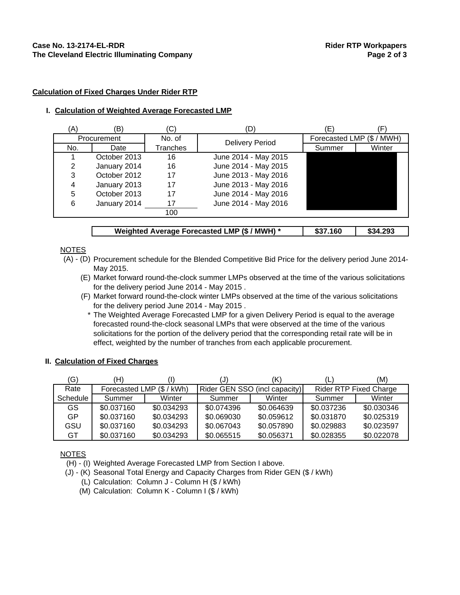#### **Calculation of Fixed Charges Under Rider RTP**

#### **I. Calculation of Weighted Average Forecasted LMP**

| A)  | (B)          | (C)      |                        | Έ,                  |        |
|-----|--------------|----------|------------------------|---------------------|--------|
|     | Procurement  | No. of   | <b>Delivery Period</b> | Forecasted LMP (\$/ | ' MWH) |
| No. | Date         | Tranches |                        | Summer              | Winter |
|     | October 2013 | 16       | June 2014 - May 2015   |                     |        |
| 2   | January 2014 | 16       | June 2014 - May 2015   |                     |        |
| 3   | October 2012 | 17       | June 2013 - May 2016   |                     |        |
| 4   | January 2013 | 17       | June 2013 - May 2016   |                     |        |
| 5   | October 2013 | 17       | June 2014 - May 2016   |                     |        |
| 6   | January 2014 | 17       | June 2014 - May 2016   |                     |        |
|     |              | 100      |                        |                     |        |
|     |              |          |                        |                     |        |

| Weighted Average Forecasted LMP (\$ / MWH) * |  | \$37.160 | \$34.293 |
|----------------------------------------------|--|----------|----------|
|----------------------------------------------|--|----------|----------|

**NOTES** 

- (A) (D) Procurement schedule for the Blended Competitive Bid Price for the delivery period June 2014- May 2015.
	- (E) Market forward round-the-clock summer LMPs observed at the time of the various solicitations for the delivery period June 2014 - May 2015 .
	- (F) Market forward round-the-clock winter LMPs observed at the time of the various solicitations for the delivery period June 2014 - May 2015 .
		- \* The Weighted Average Forecasted LMP for a given Delivery Period is equal to the average forecasted round-the-clock seasonal LMPs that were observed at the time of the various solicitations for the portion of the delivery period that the corresponding retail rate will be in effect, weighted by the number of tranches from each applicable procurement.

#### **II. Calculation of Fixed Charges**

| 'G)      | (H)        |                         |            |                               | Ľ          | (M)                           |
|----------|------------|-------------------------|------------|-------------------------------|------------|-------------------------------|
| Rate     |            | Forecasted LMP (\$/kWh) |            | Rider GEN SSO (incl capacity) |            | <b>Rider RTP Fixed Charge</b> |
| Schedule | Summer     | Winter                  | Summer     | Winter                        | Summer     | Winter                        |
| GS.      | \$0.037160 | \$0.034293              | \$0.074396 | \$0.064639                    | \$0.037236 | \$0.030346                    |
| GP       | \$0.037160 | \$0.034293              | \$0.069030 | \$0.059612                    | \$0.031870 | \$0.025319                    |
| GSU      | \$0.037160 | \$0.034293              | \$0.067043 | \$0.057890                    | \$0.029883 | \$0.023597                    |
| GT       | \$0.037160 | \$0.034293              | \$0.065515 | \$0.056371                    | \$0.028355 | \$0.022078                    |

NOTES

(H) - (I) Weighted Average Forecasted LMP from Section I above.

- (J) (K) Seasonal Total Energy and Capacity Charges from Rider GEN (\$ / kWh)
	- (L) Calculation: Column J Column H (\$ / kWh)
	- (M) Calculation: Column K Column I (\$ / kWh)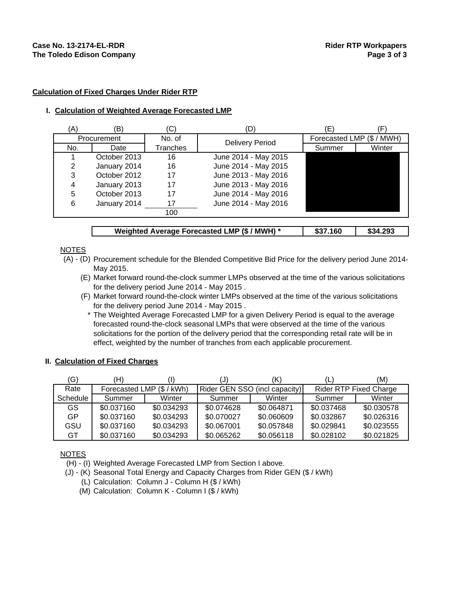#### **Calculation of Fixed Charges Under Rider RTP**

#### **I. Calculation of Weighted Average Forecasted LMP**

| `A) | (B)          | (C)      |                        | Έ,                  |        |
|-----|--------------|----------|------------------------|---------------------|--------|
|     | Procurement  | No. of   | <b>Delivery Period</b> | Forecasted LMP (\$/ | (MWH   |
| No. | Date         | Tranches |                        | Summer              | Winter |
|     | October 2013 | 16       | June 2014 - May 2015   |                     |        |
| 2   | January 2014 | 16       | June 2014 - May 2015   |                     |        |
| 3   | October 2012 | 17       | June 2013 - May 2016   |                     |        |
| 4   | January 2013 | 17       | June 2013 - May 2016   |                     |        |
| 5   | October 2013 | 17       | June 2014 - May 2016   |                     |        |
| 6   | January 2014 | 17       | June 2014 - May 2016   |                     |        |
|     |              | 100      |                        |                     |        |
|     |              |          |                        |                     |        |

| Weighted Average Forecasted LMP (\$ / MWH) * |  | \$37.160 | \$34.293 |
|----------------------------------------------|--|----------|----------|
|----------------------------------------------|--|----------|----------|

**NOTES** 

- (A) (D) Procurement schedule for the Blended Competitive Bid Price for the delivery period June 2014- May 2015.
	- (E) Market forward round-the-clock summer LMPs observed at the time of the various solicitations for the delivery period June 2014 - May 2015 .
	- (F) Market forward round-the-clock winter LMPs observed at the time of the various solicitations for the delivery period June 2014 - May 2015 .
		- \* The Weighted Average Forecasted LMP for a given Delivery Period is equal to the average forecasted round-the-clock seasonal LMPs that were observed at the time of the various solicitations for the portion of the delivery period that the corresponding retail rate will be in effect, weighted by the number of tranches from each applicable procurement.

#### **II. Calculation of Fixed Charges**

| (G)      | H)         |                           |            | 'K)                           |            | (M)                           |
|----------|------------|---------------------------|------------|-------------------------------|------------|-------------------------------|
| Rate     |            | Forecasted LMP (\$ / kWh) |            | Rider GEN SSO (incl capacity) |            | <b>Rider RTP Fixed Charge</b> |
| Schedule | Summer     | Winter                    | Summer     | Winter                        | Summer     | Winter                        |
| GS.      | \$0.037160 | \$0.034293                | \$0.074628 | \$0.064871                    | \$0.037468 | \$0.030578                    |
| GP       | \$0.037160 | \$0.034293                | \$0.070027 | \$0.060609                    | \$0.032867 | \$0.026316                    |
| GSU      | \$0.037160 | \$0.034293                | \$0.067001 | \$0.057848                    | \$0.029841 | \$0.023555                    |
| GT       | \$0.037160 | \$0.034293                | \$0.065262 | \$0.056118                    | \$0.028102 | \$0.021825                    |

NOTES

(H) - (I) Weighted Average Forecasted LMP from Section I above.

- (J) (K) Seasonal Total Energy and Capacity Charges from Rider GEN (\$ / kWh)
	- (L) Calculation: Column J Column H (\$ / kWh)
	- (M) Calculation: Column K Column I (\$ / kWh)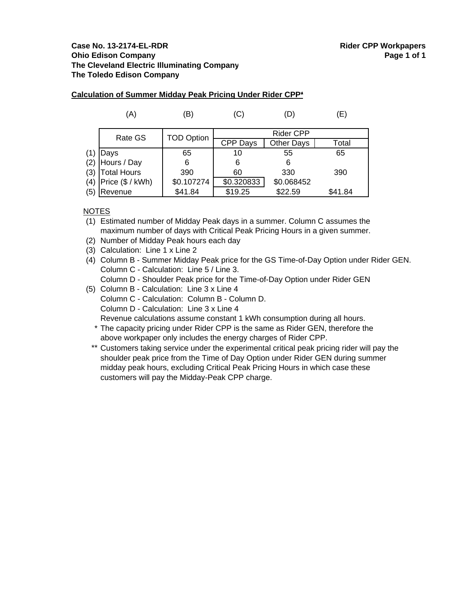| Calculation of Summer Midday Peak Pricing Under Rider CPP* |  |
|------------------------------------------------------------|--|
|                                                            |  |

|     | (A)              | (B)               | (C)              |                   | Έ)      |
|-----|------------------|-------------------|------------------|-------------------|---------|
|     | Rate GS          | <b>TOD Option</b> | <b>Rider CPP</b> |                   |         |
|     |                  |                   | <b>CPP Days</b>  | <b>Other Days</b> | Total   |
| (1) | Days             | 65                | 10               | 55                | 65      |
|     | (2) Hours / Day  | 6                 | 6                |                   |         |
|     | (3) Total Hours  | 390               | 60               | 330               | 390     |
| (4) | Price (\$ / kWh) | \$0.107274        | \$0.320833       | \$0.068452        |         |
| (5) | Revenue          | \$41.84           | \$19.25          | \$22.59           | \$41.84 |

# NOTES

(1) Estimated number of Midday Peak days in a summer. Column C assumes the maximum number of days with Critical Peak Pricing Hours in a given summer.

- (2) Number of Midday Peak hours each day
- (3) Calculation: Line 1 x Line 2

(4) Column B - Summer Midday Peak price for the GS Time-of-Day Option under Rider GEN. Column C - Calculation: Line 5 / Line 3.

Column D - Shoulder Peak price for the Time-of-Day Option under Rider GEN

- (5) Column B Calculation: Line 3 x Line 4
	- Column C Calculation: Column B Column D.

Column D - Calculation: Line 3 x Line 4

Revenue calculations assume constant 1 kWh consumption during all hours.

- \* The capacity pricing under Rider CPP is the same as Rider GEN, therefore the above workpaper only includes the energy charges of Rider CPP.
- \*\* Customers taking service under the experimental critical peak pricing rider will pay the shoulder peak price from the Time of Day Option under Rider GEN during summer midday peak hours, excluding Critical Peak Pricing Hours in which case these customers will pay the Midday-Peak CPP charge.